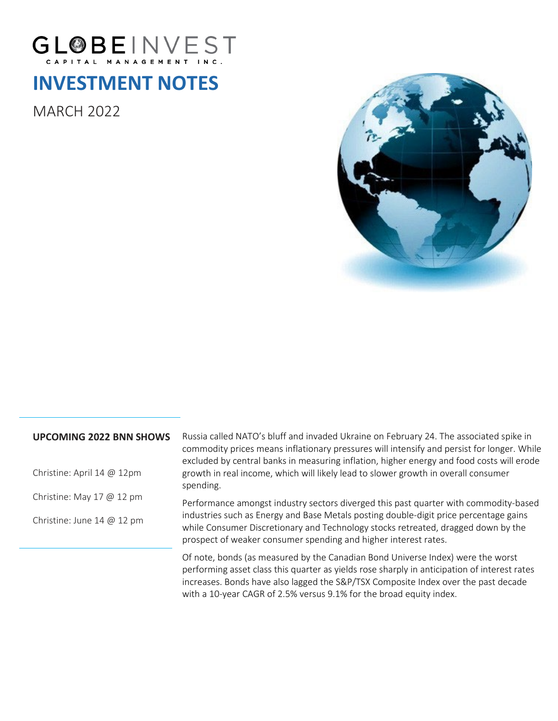

# **INVESTMENT NOTES**

MARCH 2022



## **UPCOMING 2022 BNN SHOWS**

Christine: April 14 @ 12pm

Christine: May 17 @ 12 pm

Christine: June 14 @ 12 pm

Russia called NATO's bluff and invaded Ukraine on February 24. The associated spike in commodity prices means inflationary pressures will intensify and persist for longer. While excluded by central banks in measuring inflation, higher energy and food costs will erode growth in real income, which will likely lead to slower growth in overall consumer spending.

Performance amongst industry sectors diverged this past quarter with commodity-based industries such as Energy and Base Metals posting double-digit price percentage gains while Consumer Discretionary and Technology stocks retreated, dragged down by the prospect of weaker consumer spending and higher interest rates.

Of note, bonds (as measured by the Canadian Bond Universe Index) were the worst performing asset class this quarter as yields rose sharply in anticipation of interest rates increases. Bonds have also lagged the S&P/TSX Composite Index over the past decade with a 10-year CAGR of 2.5% versus 9.1% for the broad equity index.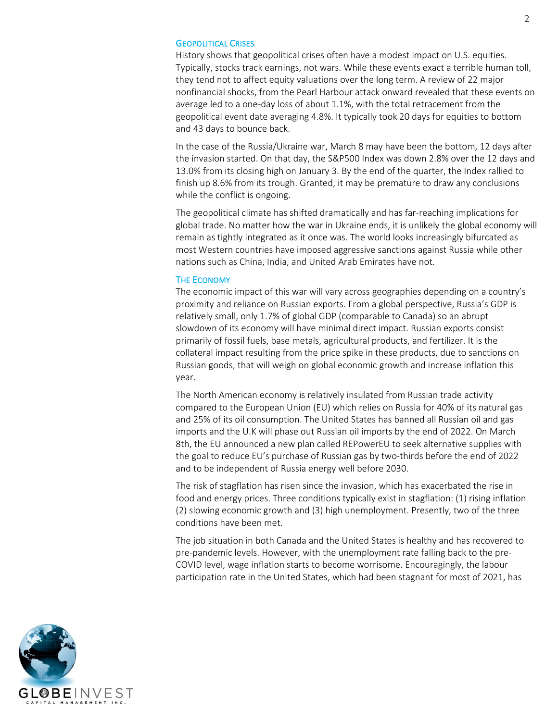#### GEOPOLITICAL CRISES

History shows that geopolitical crises often have a modest impact on U.S. equities. Typically, stocks track earnings, not wars. While these events exact a terrible human toll, they tend not to affect equity valuations over the long term. A review of 22 major nonfinancial shocks, from the Pearl Harbour attack onward revealed that these events on average led to a one-day loss of about 1.1%, with the total retracement from the geopolitical event date averaging 4.8%. It typically took 20 days for equities to bottom and 43 days to bounce back.

In the case of the Russia/Ukraine war, March 8 may have been the bottom, 12 days after the invasion started. On that day, the S&P500 Index was down 2.8% over the 12 days and 13.0% from its closing high on January 3. By the end of the quarter, the Index rallied to finish up 8.6% from its trough. Granted, it may be premature to draw any conclusions while the conflict is ongoing.

The geopolitical climate has shifted dramatically and has far-reaching implications for global trade. No matter how the war in Ukraine ends, it is unlikely the global economy will remain as tightly integrated as it once was. The world looks increasingly bifurcated as most Western countries have imposed aggressive sanctions against Russia while other nations such as China, India, and United Arab Emirates have not.

#### THE ECONOMY

The economic impact of this war will vary across geographies depending on a country's proximity and reliance on Russian exports. From a global perspective, Russia's GDP is relatively small, only 1.7% of global GDP (comparable to Canada) so an abrupt slowdown of its economy will have minimal direct impact. Russian exports consist primarily of fossil fuels, base metals, agricultural products, and fertilizer. It is the collateral impact resulting from the price spike in these products, due to sanctions on Russian goods, that will weigh on global economic growth and increase inflation this year.

The North American economy is relatively insulated from Russian trade activity compared to the European Union (EU) which relies on Russia for 40% of its natural gas and 25% of its oil consumption. The United States has banned all Russian oil and gas imports and the U.K will phase out Russian oil imports by the end of 2022. On March 8th, the EU announced a new plan called REPowerEU to seek alternative supplies with the goal to reduce EU's purchase of Russian gas by two-thirds before the end of 2022 and to be independent of Russia energy well before 2030.

The risk of stagflation has risen since the invasion, which has exacerbated the rise in food and energy prices. Three conditions typically exist in stagflation: (1) rising inflation (2) slowing economic growth and (3) high unemployment. Presently, two of the three conditions have been met.

The job situation in both Canada and the United States is healthy and has recovered to pre-pandemic levels. However, with the unemployment rate falling back to the pre-COVID level, wage inflation starts to become worrisome. Encouragingly, the labour participation rate in the United States, which had been stagnant for most of 2021, has

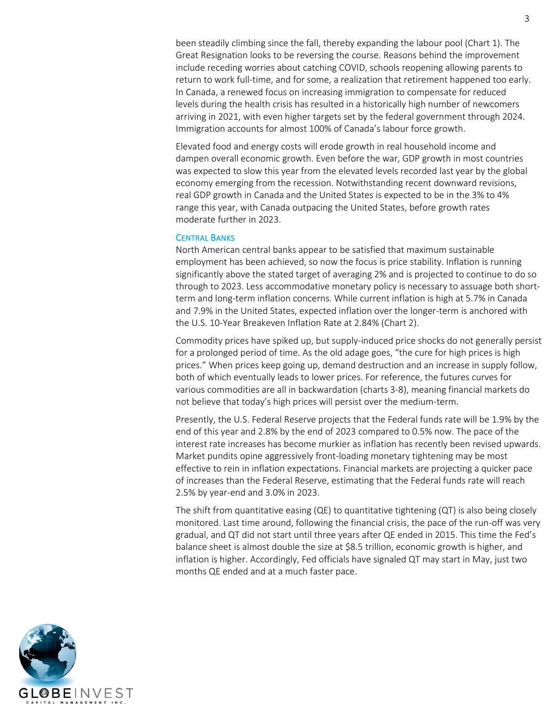been steadily climbing since the fall, thereby expanding the labour pool (Chart 1). The Great Resignation looks to be reversing the course. Reasons behind the improvement include receding worries about catching COVID, schools reopening allowing parents to return to work full-time, and for some, a realization that retirement happened too early. In Canada, a renewed focus on increasing immigration to compensate for reduced levels during the health crisis has resulted in a historically high number of newcomers arriving in 2021, with even higher targets set by the federal government through 2024. Immigration accounts for almost 100% of Canada's labour force growth.

Elevated food and energy costs will erode growth in real household income and dampen overall economic growth. Even before the war, GDP growth in most countries was expected to slow this year from the elevated levels recorded last year by the global economy emerging from the recession. Notwithstanding recent downward revisions, real GDP growth in Canada and the United States is expected to be in the 3% to 4% range this year, with Canada outpacing the United States, before growth rates moderate further in 2023.

#### CENTRAL BANKS

North American central banks appear to be satisfied that maximum sustainable employment has been achieved, so now the focus is price stability. Inflation is running significantly above the stated target of averaging 2% and is projected to continue to do so through to 2023. Less accommodative monetary policy is necessary to assuage both shortterm and long-term inflation concerns. While current inflation is high at 5.7% in Canada and 7.9% in the United States, expected inflation over the longer-term is anchored with the U.S. 10-Year Breakeven Inflation Rate at 2.84% (Chart 2).

Commodity prices have spiked up, but supply-induced price shocks do not generally persist for a prolonged period of time. As the old adage goes, "the cure for high prices is high prices." When prices keep going up, demand destruction and an increase in supply follow, both of which eventually leads to lower prices. For reference, the futures curves for various commodities are all in backwardation (charts 3-8), meaning financial markets do not believe that today's high prices will persist over the medium-term.

Presently, the U.S. Federal Reserve projects that the Federal funds rate will be 1.9% by the end of this year and 2.8% by the end of 2023 compared to 0.5% now. The pace of the interest rate increases has become murkier as inflation has recently been revised upwards. Market pundits opine aggressively front-loading monetary tightening may be most effective to rein in inflation expectations. Financial markets are projecting a quicker pace of increases than the Federal Reserve, estimating that the Federal funds rate will reach 2.5% by year-end and 3.0% in 2023.

The shift from quantitative easing (QE) to quantitative tightening (QT) is also being closely monitored. Last time around, following the financial crisis, the pace of the run-off was very gradual, and QT did not start until three years after QE ended in 2015. This time the Fed's balance sheet is almost double the size at \$8.5 trillion, economic growth is higher, and inflation is higher. Accordingly, Fed officials have signaled QT may start in May, just two months QE ended and at a much faster pace.

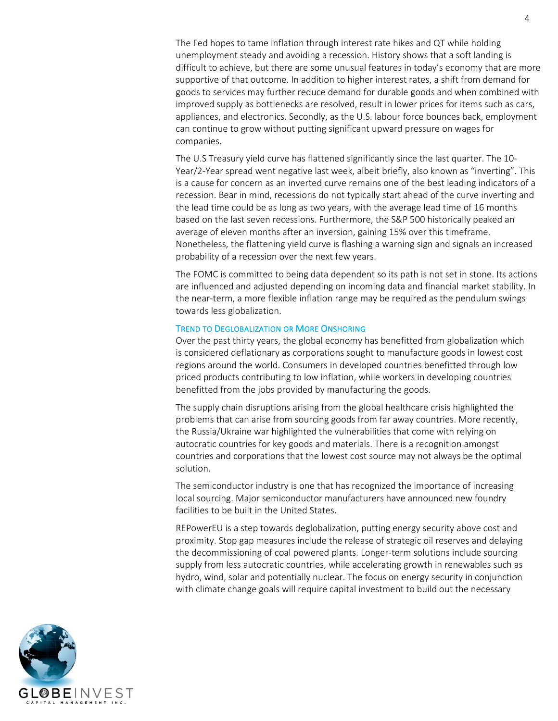The Fed hopes to tame inflation through interest rate hikes and QT while holding unemployment steady and avoiding a recession. History shows that a soft landing is difficult to achieve, but there are some unusual features in today's economy that are more supportive of that outcome. In addition to higher interest rates, a shift from demand for goods to services may further reduce demand for durable goods and when combined with improved supply as bottlenecks are resolved, result in lower prices for items such as cars, appliances, and electronics. Secondly, as the U.S. labour force bounces back, employment can continue to grow without putting significant upward pressure on wages for companies.

The U.S Treasury yield curve has flattened significantly since the last quarter. The 10- Year/2-Year spread went negative last week, albeit briefly, also known as "inverting". This is a cause for concern as an inverted curve remains one of the best leading indicators of a recession. Bear in mind, recessions do not typically start ahead of the curve inverting and the lead time could be as long as two years, with the average lead time of 16 months based on the last seven recessions. Furthermore, the S&P 500 historically peaked an average of eleven months after an inversion, gaining 15% over this timeframe. Nonetheless, the flattening yield curve is flashing a warning sign and signals an increased probability of a recession over the next few years.

The FOMC is committed to being data dependent so its path is not set in stone. Its actions are influenced and adjusted depending on incoming data and financial market stability. In the near-term, a more flexible inflation range may be required as the pendulum swings towards less globalization.

#### TREND TO DEGLOBALIZATION OR MORE ONSHORING

Over the past thirty years, the global economy has benefitted from globalization which is considered deflationary as corporations sought to manufacture goods in lowest cost regions around the world. Consumers in developed countries benefitted through low priced products contributing to low inflation, while workers in developing countries benefitted from the jobs provided by manufacturing the goods.

The supply chain disruptions arising from the global healthcare crisis highlighted the problems that can arise from sourcing goods from far away countries. More recently, the Russia/Ukraine war highlighted the vulnerabilities that come with relying on autocratic countries for key goods and materials. There is a recognition amongst countries and corporations that the lowest cost source may not always be the optimal solution.

The semiconductor industry is one that has recognized the importance of increasing local sourcing. Major semiconductor manufacturers have announced new foundry facilities to be built in the United States.

REPowerEU is a step towards deglobalization, putting energy security above cost and proximity. Stop gap measures include the release of strategic oil reserves and delaying the decommissioning of coal powered plants. Longer-term solutions include sourcing supply from less autocratic countries, while accelerating growth in renewables such as hydro, wind, solar and potentially nuclear. The focus on energy security in conjunction with climate change goals will require capital investment to build out the necessary

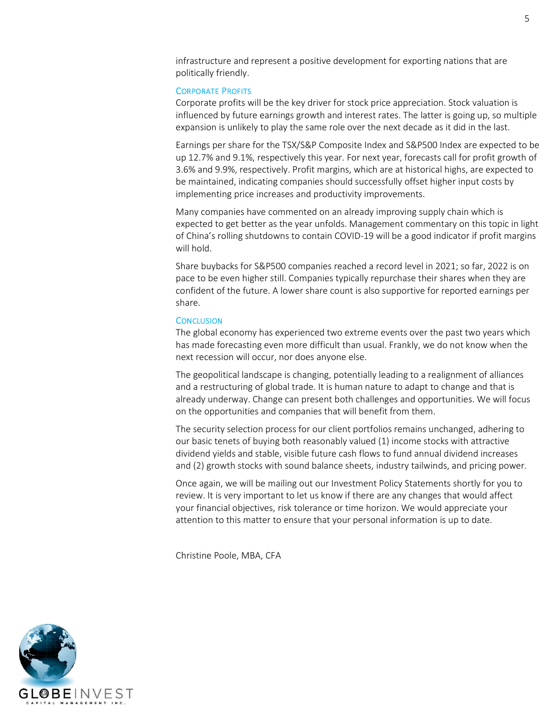infrastructure and represent a positive development for exporting nations that are politically friendly.

#### CORPORATE PROFITS

Corporate profits will be the key driver for stock price appreciation. Stock valuation is influenced by future earnings growth and interest rates. The latter is going up, so multiple expansion is unlikely to play the same role over the next decade as it did in the last.

Earnings per share for the TSX/S&P Composite Index and S&P500 Index are expected to be up 12.7% and 9.1%, respectively this year. For next year, forecasts call for profit growth of 3.6% and 9.9%, respectively. Profit margins, which are at historical highs, are expected to be maintained, indicating companies should successfully offset higher input costs by implementing price increases and productivity improvements.

Many companies have commented on an already improving supply chain which is expected to get better as the year unfolds. Management commentary on this topic in light of China's rolling shutdowns to contain COVID-19 will be a good indicator if profit margins will hold.

Share buybacks for S&P500 companies reached a record level in 2021; so far, 2022 is on pace to be even higher still. Companies typically repurchase their shares when they are confident of the future. A lower share count is also supportive for reported earnings per share.

#### **CONCLUSION**

The global economy has experienced two extreme events over the past two years which has made forecasting even more difficult than usual. Frankly, we do not know when the next recession will occur, nor does anyone else.

The geopolitical landscape is changing, potentially leading to a realignment of alliances and a restructuring of global trade. It is human nature to adapt to change and that is already underway. Change can present both challenges and opportunities. We will focus on the opportunities and companies that will benefit from them.

The security selection process for our client portfolios remains unchanged, adhering to our basic tenets of buying both reasonably valued (1) income stocks with attractive dividend yields and stable, visible future cash flows to fund annual dividend increases and (2) growth stocks with sound balance sheets, industry tailwinds, and pricing power.

Once again, we will be mailing out our Investment Policy Statements shortly for you to review. It is very important to let us know if there are any changes that would affect your financial objectives, risk tolerance or time horizon. We would appreciate your attention to this matter to ensure that your personal information is up to date.

Christine Poole, MBA, CFA

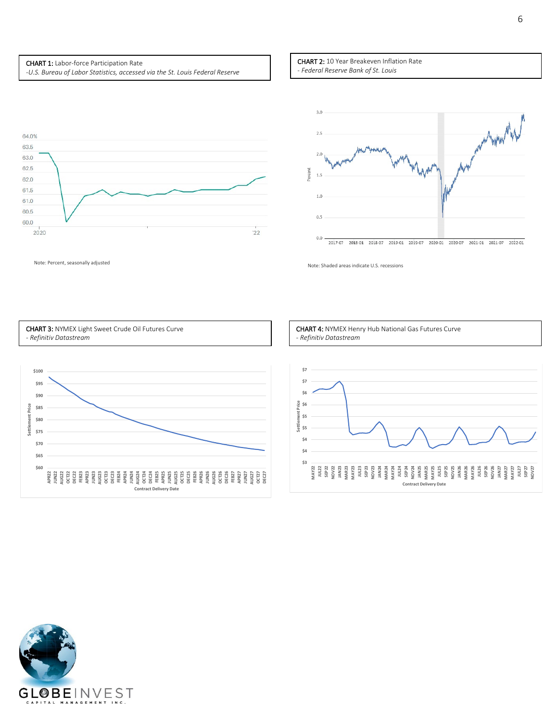#### CHART 1: Labor-force Participation Rate

-*U.S. Bureau of Labor Statistics, accessed via the St. Louis Federal Reserve*

#### CHART 2: 10 Year Breakeven Inflation Rate - *Federal Reserve Bank of St. Louis*





Note: Percent, seasonally adjusted Note: Shaded areas indicate U.S. recessions



CHART 4: NYMEX Henry Hub National Gas Futures Curve *- Refinitiv Datastream*



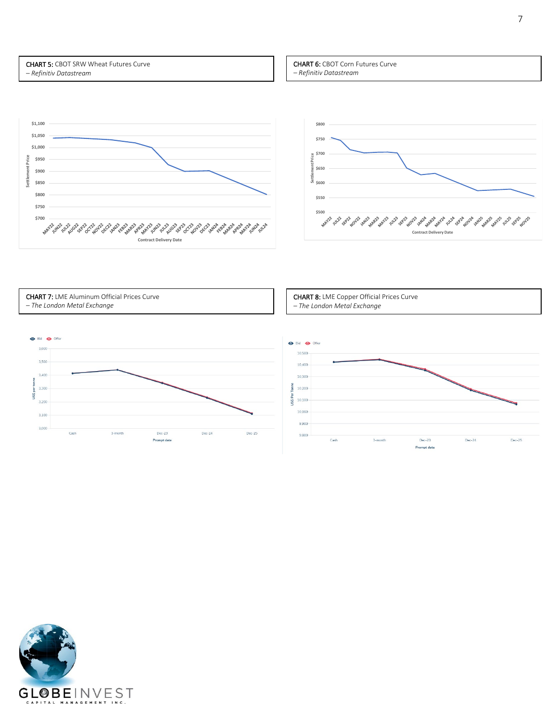CHART 5: CBOT SRW Wheat Futures Curve *– Refinitiv Datastream*







CHART 7: LME Aluminum Official Prices Curve *– The London Metal Exchange*

CHART 8: LME Copper Official Prices Curve *– The London Metal Exchange*